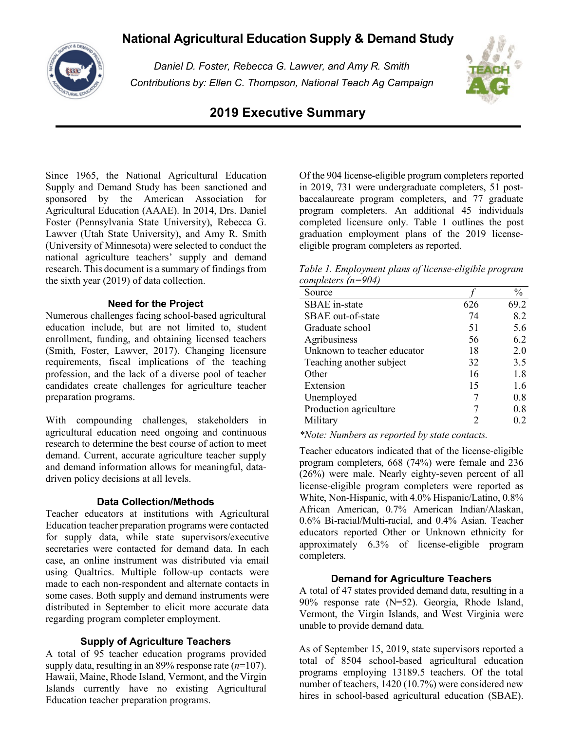# **National Agricultural Education Supply & Demand Study**



*Daniel D. Foster, Rebecca G. Lawver, and Amy R. Smith Contributions by: Ellen C. Thompson, National Teach Ag Campaign*



## **2019 Executive Summary**

Since 1965, the National Agricultural Education Supply and Demand Study has been sanctioned and sponsored by the American Association for Agricultural Education (AAAE). In 2014, Drs. Daniel Foster (Pennsylvania State University), Rebecca G. Lawver (Utah State University), and Amy R. Smith (University of Minnesota) were selected to conduct the national agriculture teachers' supply and demand research. This document is a summary of findings from the sixth year (2019) of data collection.

## **Need for the Project**

Numerous challenges facing school-based agricultural education include, but are not limited to, student enrollment, funding, and obtaining licensed teachers (Smith, Foster, Lawver, 2017). Changing licensure requirements, fiscal implications of the teaching profession, and the lack of a diverse pool of teacher candidates create challenges for agriculture teacher preparation programs.

With compounding challenges, stakeholders in agricultural education need ongoing and continuous research to determine the best course of action to meet demand. Current, accurate agriculture teacher supply and demand information allows for meaningful, datadriven policy decisions at all levels.

## **Data Collection/Methods**

Teacher educators at institutions with Agricultural Education teacher preparation programs were contacted for supply data, while state supervisors/executive secretaries were contacted for demand data. In each case, an online instrument was distributed via email using Qualtrics. Multiple follow-up contacts were made to each non-respondent and alternate contacts in some cases. Both supply and demand instruments were distributed in September to elicit more accurate data regarding program completer employment.

#### **Supply of Agriculture Teachers**

A total of 95 teacher education programs provided supply data, resulting in an 89% response rate (*n*=107). Hawaii, Maine, Rhode Island, Vermont, and the Virgin Islands currently have no existing Agricultural Education teacher preparation programs.

Of the 904 license-eligible program completers reported in 2019, 731 were undergraduate completers, 51 postbaccalaureate program completers, and 77 graduate program completers. An additional 45 individuals completed licensure only. Table 1 outlines the post graduation employment plans of the 2019 licenseeligible program completers as reported.

*Table 1. Employment plans of license-eligible program completers (n=904)*

| Source                      |     | $\frac{0}{0}$ |
|-----------------------------|-----|---------------|
| SBAE in-state               | 626 | 69.2          |
| SBAE out-of-state           | 74  | 8.2           |
| Graduate school             | 51  | 5.6           |
| Agribusiness                | 56  | 6.2           |
| Unknown to teacher educator | 18  | 2.0           |
| Teaching another subject    | 32  | 3.5           |
| Other                       | 16  | 1.8           |
| Extension                   | 15  | 1.6           |
| Unemployed                  |     | 0.8           |
| Production agriculture      |     | 08            |
| Military                    |     | 02            |
|                             |     |               |

*\*Note: Numbers as reported by state contacts.*

Teacher educators indicated that of the license-eligible program completers, 668 (74%) were female and 236 (26%) were male. Nearly eighty-seven percent of all license-eligible program completers were reported as White, Non-Hispanic, with 4.0% Hispanic/Latino, 0.8% African American, 0.7% American Indian/Alaskan, 0.6% Bi-racial/Multi-racial, and 0.4% Asian. Teacher educators reported Other or Unknown ethnicity for approximately 6.3% of license-eligible program completers.

#### **Demand for Agriculture Teachers**

A total of 47 states provided demand data, resulting in a 90% response rate (N=52). Georgia, Rhode Island, Vermont, the Virgin Islands, and West Virginia were unable to provide demand data.

As of September 15, 2019, state supervisors reported a total of 8504 school-based agricultural education programs employing 13189.5 teachers. Of the total number of teachers, 1420 (10.7%) were considered new hires in school-based agricultural education (SBAE).